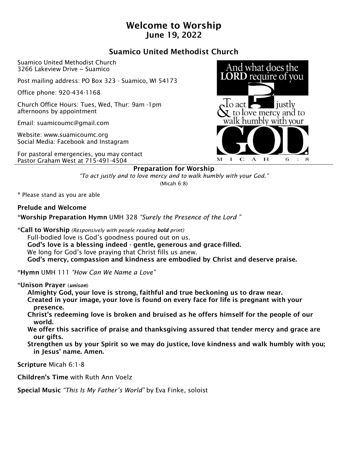# Welcome to Worship June 19, 2022

## Suamico United Methodist Church

Suamico United Methodist Church 3266 Lakeview Drive ~ Suamico

Post mailing address: PO Box 323 - Suamico, WI 54173

Office phone: 920-434-1168

Church Office Hours: Tues, Wed, Thur: 9am -1pm afternoons by appointment

Email: suamicoumc@gmail.com

Website: www.suamicoumc.org Social Media: Facebook and Instagram

For pastoral emergencies, you may contact Pastor Graham West at 715-491-4504



#### Preparation for Worship

*"To act justly and to love mercy and to walk humbly with your God."* (Micah 6:8)

\* Please stand as you are able

Prelude and Welcome

\*Worship Preparation Hymn UMH 328 *"Surely the Presence of the Lord "*

\*Call to Worship *(Responsively with people reading bold print)*

 Full-bodied love is God's goodness poured out on us. God's love is a blessing indeed - gentle, generous and grace-filled. We long for God's love praying that Christ fills us anew. God's mercy, compassion and kindness are embodied by Christ and deserve praise.

\*Hymn UMH 111 *"How Can We Name a Love"*

\*Unison Prayer (*unison*)

Almighty God, your love is strong, faithful and true beckoning us to draw near.

- Created in your image, your love is found on every face for life is pregnant with your presence.
- Christ's redeeming love is broken and bruised as he offers himself for the people of our world.
- We offer this sacrifice of praise and thanksgiving assured that tender mercy and grace are our gifts.
- Strengthen us by your Spirit so we may do justice, love kindness and walk humbly with you; in Jesus' name. Amen.

Scripture Micah 6:1-8

Children's Time with Ruth Ann Voelz

Special Music *"This Is My Father's World"* by Eva Finke, soloist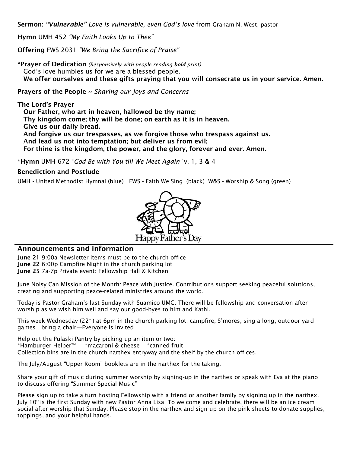Sermon: *"Vulnerable" Love is vulnerable, even God's love* from Graham N. West, pastor

Hymn UMH 452 *"My Faith Looks Up to Thee"*

Offering FWS 2031 *"We Bring the Sacrifice of Praise"* 

\*Prayer of Dedication *(Responsively with people reading bold print)* God's love humbles us for we are a blessed people. We offer ourselves and these gifts praying that you will consecrate us in your service. Amen.

Prayers of the People ~ *Sharing our Joys and Concerns*

The Lord's Prayer Our Father, who art in heaven, hallowed be thy name; Thy kingdom come; thy will be done; on earth as it is in heaven. Give us our daily bread. And forgive us our trespasses, as we forgive those who trespass against us. And lead us not into temptation; but deliver us from evil; For thine is the kingdom, the power, and the glory, forever and ever. Amen.

\*Hymn UMH 672 *"God Be with You till We Meet Again"* v. 1, 3 & 4

#### Benediction and Postlude

UMH - United Methodist Hymnal (blue) FWS - Faith We Sing (black) W&S - Worship & Song (green)



#### Announcements and information

June 21 9:00a Newsletter items must be to the church office June 22 6:00p Campfire Night in the church parking lot June 25 7a-7p Private event: Fellowship Hall & Kitchen

June Noisy Can Mission of the Month: Peace with Justice. Contributions support seeking peaceful solutions, creating and supporting peace-related ministries around the world.

Today is Pastor Graham's last Sunday with Suamico UMC. There will be fellowship and conversation after worship as we wish him well and say our good-byes to him and Kathi.

This week Wednesday (22<sup>nd</sup>) at 6pm in the church parking lot: campfire, S'mores, sing-a-long, outdoor yard games…bring a chair—Everyone is invited

Help out the Pulaski Pantry by picking up an item or two: \*Hamburger HelperTM \*macaroni & cheese \*canned fruit Collection bins are in the church narthex entryway and the shelf by the church offices.

The July/August "Upper Room" booklets are in the narthex for the taking.

Share your gift of music during summer worship by signing-up in the narthex or speak with Eva at the piano to discuss offering "Summer Special Music"

Please sign up to take a turn hosting Fellowship with a friend or another family by signing up in the narthex. July 10th is the first Sunday with new Pastor Anna Lisa! To welcome and celebrate, there will be an ice cream social after worship that Sunday. Please stop in the narthex and sign-up on the pink sheets to donate supplies, toppings, and your helpful hands.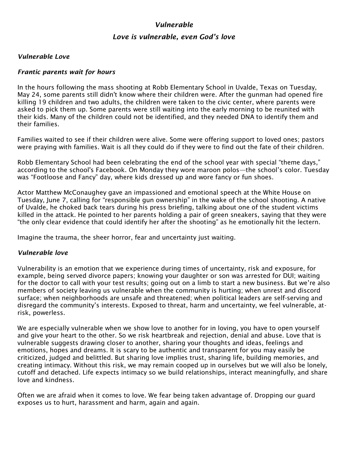## *Vulnerable*

## *Love is vulnerable, even God's love*

#### *Vulnerable Love*

#### *Frantic parents wait for hours*

In the hours following the mass shooting at Robb Elementary School in Uvalde, Texas on Tuesday, May 24, some parents still didn't know where their children were. After the gunman had opened fire killing 19 children and two adults, the children were taken to the civic center, where parents were asked to pick them up. Some parents were still waiting into the early morning to be reunited with their kids. Many of the children could not be identified, and they needed DNA to identify them and their families.

Families waited to see if their children were alive. Some were offering support to loved ones; pastors were praying with families. Wait is all they could do if they were to find out the fate of their children.

Robb Elementary School had been celebrating the end of the school year with special "theme days," according to the school's Facebook. On Monday they wore maroon polos—the school's color. Tuesday was "Footloose and Fancy" day, where kids dressed up and wore fancy or fun shoes.

Actor Matthew McConaughey gave an impassioned and emotional speech at the White House on Tuesday, June 7, calling for "responsible gun ownership" in the wake of the school shooting. A native of Uvalde, he choked back tears during his press briefing, talking about one of the student victims killed in the attack. He pointed to her parents holding a pair of green sneakers, saying that they were "the only clear evidence that could identify her after the shooting" as he emotionally hit the lectern.

Imagine the trauma, the sheer horror, fear and uncertainty just waiting.

#### *Vulnerable love*

Vulnerability is an emotion that we experience during times of uncertainty, risk and exposure, for example, being served divorce papers; knowing your daughter or son was arrested for DUI; waiting for the doctor to call with your test results; going out on a limb to start a new business. But we're also members of society leaving us vulnerable when the community is hurting; when unrest and discord surface; when neighborhoods are unsafe and threatened; when political leaders are self-serving and disregard the community's interests. Exposed to threat, harm and uncertainty, we feel vulnerable, atrisk, powerless.

We are especially vulnerable when we show love to another for in loving, you have to open yourself and give your heart to the other. So we risk heartbreak and rejection, denial and abuse. Love that is vulnerable suggests drawing closer to another, sharing your thoughts and ideas, feelings and emotions, hopes and dreams. It is scary to be authentic and transparent for you may easily be criticized, judged and belittled. But sharing love implies trust, sharing life, building memories, and creating intimacy. Without this risk, we may remain cooped up in ourselves but we will also be lonely, cutoff and detached. Life expects intimacy so we build relationships, interact meaningfully, and share love and kindness.

Often we are afraid when it comes to love. We fear being taken advantage of. Dropping our guard exposes us to hurt, harassment and harm, again and again.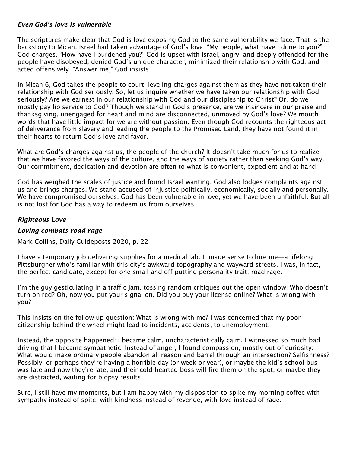### *Even God's love is vulnerable*

The scriptures make clear that God is love exposing God to the same vulnerability we face. That is the backstory to Micah. Israel had taken advantage of God's love: "My people, what have I done to you?" God charges. "How have I burdened you?" God is upset with Israel, angry, and deeply offended for the people have disobeyed, denied God's unique character, minimized their relationship with God, and acted offensively. "Answer me," God insists.

In Micah 6, God takes the people to court, leveling charges against them as they have not taken their relationship with God seriously. So, let us inquire whether we have taken our relationship with God seriously? Are we earnest in our relationship with God and our discipleship to Christ? Or, do we mostly pay lip service to God? Though we stand in God's presence, are we insincere in our praise and thanksgiving, unengaged for heart and mind are disconnected, unmoved by God's love? We mouth words that have little impact for we are without passion. Even though God recounts the righteous act of deliverance from slavery and leading the people to the Promised Land, they have not found it in their hearts to return God's love and favor.

What are God's charges against us, the people of the church? It doesn't take much for us to realize that we have favored the ways of the culture, and the ways of society rather than seeking God's way. Our commitment, dedication and devotion are often to what is convenient, expedient and at hand.

God has weighed the scales of justice and found Israel wanting. God also lodges complaints against us and brings charges. We stand accused of injustice politically, economically, socially and personally. We have compromised ourselves. God has been vulnerable in love, yet we have been unfaithful. But all is not lost for God has a way to redeem us from ourselves.

## *Righteous Love*

## *Loving combats road rage*

Mark Collins, Daily Guideposts 2020, p. 22

I have a temporary job delivering supplies for a medical lab. It made sense to hire me—a lifelong Pittsburgher who's familiar with this city's awkward topography and wayward streets. I was, in fact, the perfect candidate, except for one small and off-putting personality trait: road rage.

I'm the guy gesticulating in a traffic jam, tossing random critiques out the open window: Who doesn't turn on red? Oh, now you put your signal on. Did you buy your license online? What is wrong with you?

This insists on the follow-up question: What is wrong with me? I was concerned that my poor citizenship behind the wheel might lead to incidents, accidents, to unemployment.

Instead, the opposite happened: I became calm, uncharacteristically calm. I witnessed so much bad driving that I became sympathetic. Instead of anger, I found compassion, mostly out of curiosity: What would make ordinary people abandon all reason and barrel through an intersection? Selfishness? Possibly, or perhaps they're having a horrible day (or week or year), or maybe the kid's school bus was late and now they're late, and their cold-hearted boss will fire them on the spot, or maybe they are distracted, waiting for biopsy results …

Sure, I still have my moments, but I am happy with my disposition to spike my morning coffee with sympathy instead of spite, with kindness instead of revenge, with love instead of rage.